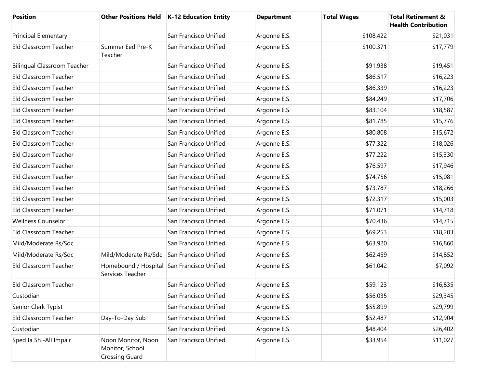| <b>Position</b>                    |                                                                | Other Positions Held   K-12 Education Entity | <b>Department</b> | <b>Total Wages</b> | <b>Total Retirement &amp;</b><br><b>Health Contribution</b> |
|------------------------------------|----------------------------------------------------------------|----------------------------------------------|-------------------|--------------------|-------------------------------------------------------------|
| <b>Principal Elementary</b>        |                                                                | San Francisco Unified                        | Argonne E.S.      | \$108,422          | \$21,031                                                    |
| Eld Classroom Teacher              | Summer Eed Pre-K<br>Teacher                                    | San Francisco Unified                        | Argonne E.S.      | \$100,371          | \$17,779                                                    |
| <b>Bilingual Classroom Teacher</b> |                                                                | San Francisco Unified                        | Argonne E.S.      | \$91,938           | \$19,451                                                    |
| Eld Classroom Teacher              |                                                                | San Francisco Unified                        | Argonne E.S.      | \$86,517           | \$16,223                                                    |
| Eld Classroom Teacher              |                                                                | San Francisco Unified                        | Argonne E.S.      | \$86,339           | \$16,223                                                    |
| Eld Classroom Teacher              |                                                                | San Francisco Unified                        | Argonne E.S.      | \$84,249           | \$17,706                                                    |
| Eld Classroom Teacher              |                                                                | San Francisco Unified                        | Argonne E.S.      | \$83,104           | \$18,587                                                    |
| Eld Classroom Teacher              |                                                                | San Francisco Unified                        | Argonne E.S.      | \$81,785           | \$15,776                                                    |
| Eld Classroom Teacher              |                                                                | San Francisco Unified                        | Argonne E.S.      | \$80,808           | \$15,672                                                    |
| Eld Classroom Teacher              |                                                                | San Francisco Unified                        | Argonne E.S.      | \$77,322           | \$18,026                                                    |
| Eld Classroom Teacher              |                                                                | San Francisco Unified                        | Argonne E.S.      | \$77,222           | \$15,330                                                    |
| Eld Classroom Teacher              |                                                                | San Francisco Unified                        | Argonne E.S.      | \$76,597           | \$17,946                                                    |
| Eld Classroom Teacher              |                                                                | San Francisco Unified                        | Argonne E.S.      | \$74,756           | \$15,081                                                    |
| Eld Classroom Teacher              |                                                                | San Francisco Unified                        | Argonne E.S.      | \$73,787           | \$18,266                                                    |
| Eld Classroom Teacher              |                                                                | San Francisco Unified                        | Argonne E.S.      | \$72,317           | \$15,003                                                    |
| Eld Classroom Teacher              |                                                                | San Francisco Unified                        | Argonne E.S.      | \$71,071           | \$14,718                                                    |
| <b>Wellness Counselor</b>          |                                                                | San Francisco Unified                        | Argonne E.S.      | \$70,436           | \$14,715                                                    |
| Eld Classroom Teacher              |                                                                | San Francisco Unified                        | Argonne E.S.      | \$69,253           | \$18,203                                                    |
| Mild/Moderate Rs/Sdc               |                                                                | San Francisco Unified                        | Argonne E.S.      | \$63,920           | \$16,860                                                    |
| Mild/Moderate Rs/Sdc               | Mild/Moderate Rs/Sdc                                           | San Francisco Unified                        | Argonne E.S.      | \$62,459           | \$14,852                                                    |
| Eld Classroom Teacher              | Homebound / Hospital San Francisco Unified<br>Services Teacher |                                              | Argonne E.S.      | \$61,042           | \$7,092                                                     |
| Eld Classroom Teacher              |                                                                | San Francisco Unified                        | Argonne E.S.      | \$59,123           | \$16,835                                                    |
| Custodian                          |                                                                | San Francisco Unified                        | Argonne E.S.      | \$56,035           | \$29,345                                                    |
| Senior Clerk Typist                |                                                                | San Francisco Unified                        | Argonne E.S.      | \$55,899           | \$29,799                                                    |
| Eld Classroom Teacher              | Day-To-Day Sub                                                 | San Francisco Unified                        | Argonne E.S.      | \$52,487           | \$12,904                                                    |
| Custodian                          |                                                                | San Francisco Unified                        | Argonne E.S.      | \$48,404           | \$26,402                                                    |
| Sped Ia Sh - All Impair            | Noon Monitor, Noon<br>Monitor, School<br><b>Crossing Guard</b> | San Francisco Unified                        | Argonne E.S.      | \$33,954           | \$11,027                                                    |